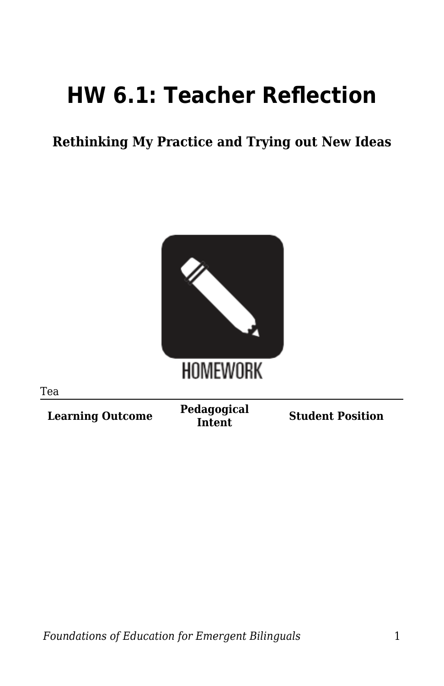## **HW 6.1: Teacher Reflection**

**Rethinking My Practice and Trying out New Ideas**



Tea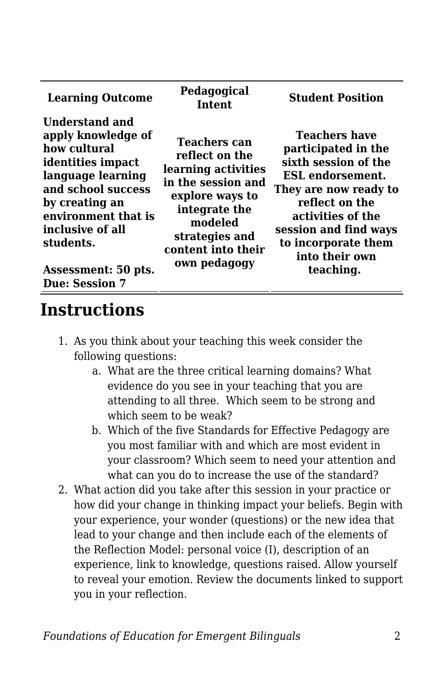| <b>Learning Outcome</b>                                                                                                                                                                                                                        | Pedagogical<br><b>Intent</b>                                                                                                                                                              | <b>Student Position</b>                                                                                                                                                                                                                       |
|------------------------------------------------------------------------------------------------------------------------------------------------------------------------------------------------------------------------------------------------|-------------------------------------------------------------------------------------------------------------------------------------------------------------------------------------------|-----------------------------------------------------------------------------------------------------------------------------------------------------------------------------------------------------------------------------------------------|
| Understand and<br>apply knowledge of<br>how cultural<br>identities impact<br>language learning<br>and school success<br>by creating an<br>environment that is<br>inclusive of all<br>students.<br>Assessment: 50 pts.<br><b>Due: Session 7</b> | <b>Teachers can</b><br>reflect on the<br>learning activities<br>in the session and<br>explore ways to<br>integrate the<br>modeled<br>strategies and<br>content into their<br>own pedagogy | <b>Teachers have</b><br>participated in the<br>sixth session of the<br><b>ESL</b> endorsement.<br>They are now ready to<br>reflect on the<br>activities of the<br>session and find ways<br>to incorporate them<br>into their own<br>teaching. |

## **Instructions**

- 1. As you think about your teaching this week consider the following questions:
	- a. What are the three critical learning domains? What evidence do you see in your teaching that you are attending to all three. Which seem to be strong and which seem to be weak?
	- b. Which of the five Standards for Effective Pedagogy are you most familiar with and which are most evident in your classroom? Which seem to need your attention and what can you do to increase the use of the standard?
- 2. What action did you take after this session in your practice or how did your change in thinking impact your beliefs. Begin with your experience, your wonder (questions) or the new idea that lead to your change and then include each of the elements of the Reflection Model: personal voice (I), description of an experience, link to knowledge, questions raised. Allow yourself to reveal your emotion. Review the documents linked to support you in your reflection.